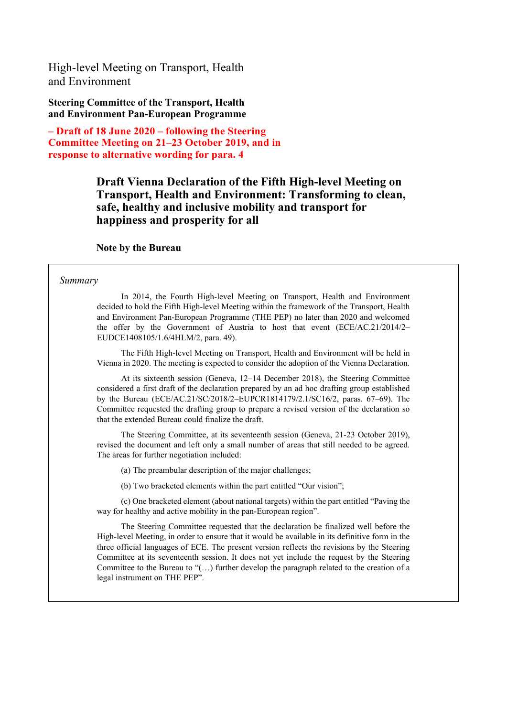High-level Meeting on Transport, Health and Environment

**Steering Committee of the Transport, Health and Environment Pan-European Programme**

**– Draft of 18 June 2020 – following the Steering Committee Meeting on 21–23 October 2019, and in response to alternative wording for para. 4**

## **Draft Vienna Declaration of the Fifth High-level Meeting on Transport, Health and Environment: Transforming to clean, safe, healthy and inclusive mobility and transport for happiness and prosperity for all**

#### **Note by the Bureau**

#### *Summary*

In 2014, the Fourth High-level Meeting on Transport, Health and Environment decided to hold the Fifth High-level Meeting within the framework of the Transport, Health and Environment Pan-European Programme (THE PEP) no later than 2020 and welcomed the offer by the Government of Austria to host that event (ECE/AC.21/2014/2– EUDCE1408105/1.6/4HLM/2, para. 49).

The Fifth High-level Meeting on Transport, Health and Environment will be held in Vienna in 2020. The meeting is expected to consider the adoption of the Vienna Declaration.

At its sixteenth session (Geneva, 12–14 December 2018), the Steering Committee considered a first draft of the declaration prepared by an ad hoc drafting group established by the Bureau (ECE/AC.21/SC/2018/2–EUPCR1814179/2.1/SC16/2, paras. 67–69). The Committee requested the drafting group to prepare a revised version of the declaration so that the extended Bureau could finalize the draft.

The Steering Committee, at its seventeenth session (Geneva, 21-23 October 2019), revised the document and left only a small number of areas that still needed to be agreed. The areas for further negotiation included:

(a) The preambular description of the major challenges;

(b) Two bracketed elements within the part entitled "Our vision";

(c) One bracketed element (about national targets) within the part entitled "Paving the way for healthy and active mobility in the pan-European region".

The Steering Committee requested that the declaration be finalized well before the High-level Meeting, in order to ensure that it would be available in its definitive form in the three official languages of ECE. The present version reflects the revisions by the Steering Committee at its seventeenth session. It does not yet include the request by the Steering Committee to the Bureau to "(…) further develop the paragraph related to the creation of a legal instrument on THE PEP".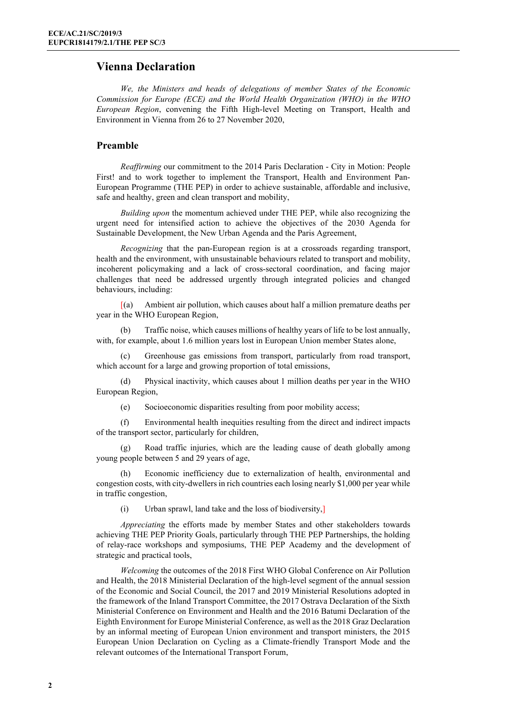### **Vienna Declaration**

*We, the Ministers and heads of delegations of member States of the Economic Commission for Europe (ECE) and the World Health Organization (WHO) in the WHO European Region*, convening the Fifth High-level Meeting on Transport, Health and Environment in Vienna from 26 to 27 November 2020,

#### **Preamble**

*Reaffirming* our commitment to the 2014 Paris Declaration - City in Motion: People First! and to work together to implement the Transport, Health and Environment Pan-European Programme (THE PEP) in order to achieve sustainable, affordable and inclusive, safe and healthy, green and clean transport and mobility,

*Building upon* the momentum achieved under THE PEP, while also recognizing the urgent need for intensified action to achieve the objectives of the 2030 Agenda for Sustainable Development, the New Urban Agenda and the Paris Agreement,

*Recognizing* that the pan-European region is at a crossroads regarding transport, health and the environment, with unsustainable behaviours related to transport and mobility, incoherent policymaking and a lack of cross-sectoral coordination, and facing major challenges that need be addressed urgently through integrated policies and changed behaviours, including:

[(a) Ambient air pollution, which causes about half a million premature deaths per year in the WHO European Region,

(b) Traffic noise, which causes millions of healthy years of life to be lost annually, with, for example, about 1.6 million years lost in European Union member States alone,

Greenhouse gas emissions from transport, particularly from road transport, which account for a large and growing proportion of total emissions,

(d) Physical inactivity, which causes about 1 million deaths per year in the WHO European Region,

(e) Socioeconomic disparities resulting from poor mobility access;

(f) Environmental health inequities resulting from the direct and indirect impacts of the transport sector, particularly for children,

(g) Road traffic injuries, which are the leading cause of death globally among young people between 5 and 29 years of age,

(h) Economic inefficiency due to externalization of health, environmental and congestion costs, with city-dwellers in rich countries each losing nearly \$1,000 per year while in traffic congestion,

(i) Urban sprawl, land take and the loss of biodiversity,]

*Appreciating* the efforts made by member States and other stakeholders towards achieving THE PEP Priority Goals, particularly through THE PEP Partnerships, the holding of relay-race workshops and symposiums, THE PEP Academy and the development of strategic and practical tools,

*Welcoming* the outcomes of the 2018 First WHO Global Conference on Air Pollution and Health, the 2018 Ministerial Declaration of the high-level segment of the annual session of the Economic and Social Council, the 2017 and 2019 Ministerial Resolutions adopted in the framework of the Inland Transport Committee, the 2017 Ostrava Declaration of the Sixth Ministerial Conference on Environment and Health and the 2016 Batumi Declaration of the Eighth Environment for Europe Ministerial Conference, as well as the 2018 Graz Declaration by an informal meeting of European Union environment and transport ministers, the 2015 European Union Declaration on Cycling as a Climate-friendly Transport Mode and the relevant outcomes of the International Transport Forum,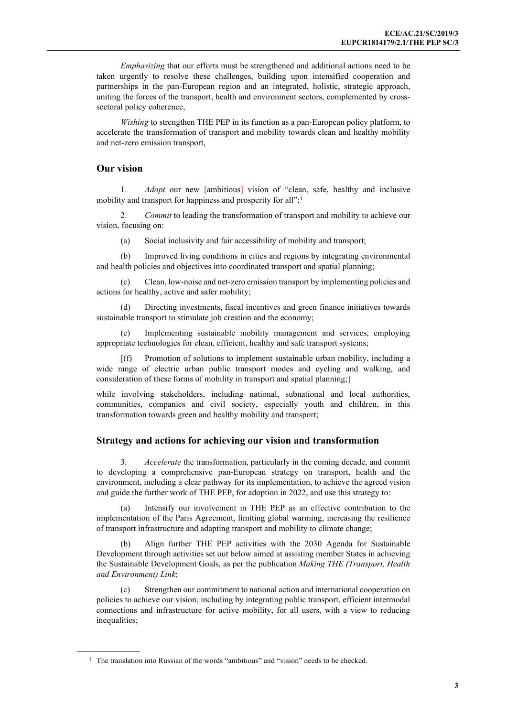*Emphasizing* that our efforts must be strengthened and additional actions need to be taken urgently to resolve these challenges, building upon intensified cooperation and partnerships in the pan-European region and an integrated, holistic, strategic approach, uniting the forces of the transport, health and environment sectors, complemented by crosssectoral policy coherence,

*Wishing* to strengthen THE PEP in its function as a pan-European policy platform, to accelerate the transformation of transport and mobility towards clean and healthy mobility and net-zero emission transport,

#### **Our vision**

1. *Adopt* our new [ambitious] vision of "clean, safe, healthy and inclusive mobility and transport for happiness and prosperity for all";<sup>[1](#page-2-0)</sup>

2. *Commit* to leading the transformation of transport and mobility to achieve our vision, focusing on:

(a) Social inclusivity and fair accessibility of mobility and transport;

(b) Improved living conditions in cities and regions by integrating environmental and health policies and objectives into coordinated transport and spatial planning;

(c) Clean, low-noise and net-zero emission transport by implementing policies and actions for healthy, active and safer mobility;

(d) Directing investments, fiscal incentives and green finance initiatives towards sustainable transport to stimulate job creation and the economy;

(e) Implementing sustainable mobility management and services, employing appropriate technologies for clean, efficient, healthy and safe transport systems;

[(f) Promotion of solutions to implement sustainable urban mobility, including a wide range of electric urban public transport modes and cycling and walking, and consideration of these forms of mobility in transport and spatial planning;

while involving stakeholders, including national, subnational and local authorities, communities, companies and civil society, especially youth and children, in this transformation towards green and healthy mobility and transport;

#### **Strategy and actions for achieving our vision and transformation**

3. *Accelerate* the transformation, particularly in the coming decade, and commit to developing a comprehensive pan-European strategy on transport, health and the environment, including a clear pathway for its implementation, to achieve the agreed vision and guide the further work of THE PEP, for adoption in 2022, and use this strategy to:

(a) Intensify our involvement in THE PEP as an effective contribution to the implementation of the Paris Agreement, limiting global warming, increasing the resilience of transport infrastructure and adapting transport and mobility to climate change;

Align further THE PEP activities with the 2030 Agenda for Sustainable Development through activities set out below aimed at assisting member States in achieving the Sustainable Development Goals, as per the publication *Making THE (Transport, Health and Environment) Link*;

Strengthen our commitment to national action and international cooperation on policies to achieve our vision, including by integrating public transport, efficient intermodal connections and infrastructure for active mobility, for all users, with a view to reducing inequalities;

<span id="page-2-0"></span> $<sup>1</sup>$  The translation into Russian of the words "ambitious" and "vision" needs to be checked.</sup>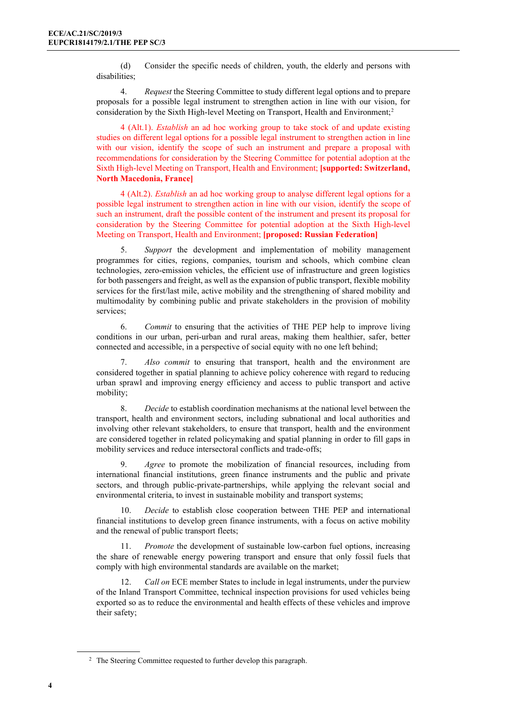(d) Consider the specific needs of children, youth, the elderly and persons with disabilities;

4. *Request* the Steering Committee to study different legal options and to prepare proposals for a possible legal instrument to strengthen action in line with our vision, for consideration by the Sixth High-level Meeting on Transport, Health and Environment;<sup>[2](#page-3-0)</sup>

4 (Alt.1). *Establish* an ad hoc working group to take stock of and update existing studies on different legal options for a possible legal instrument to strengthen action in line with our vision, identify the scope of such an instrument and prepare a proposal with recommendations for consideration by the Steering Committee for potential adoption at the Sixth High-level Meeting on Transport, Health and Environment; **[supported: Switzerland, North Macedonia, France]**

4 (Alt.2). *Establish* an ad hoc working group to analyse different legal options for a possible legal instrument to strengthen action in line with our vision, identify the scope of such an instrument, draft the possible content of the instrument and present its proposal for consideration by the Steering Committee for potential adoption at the Sixth High-level Meeting on Transport, Health and Environment; **[proposed: Russian Federation]**

5. *Support* the development and implementation of mobility management programmes for cities, regions, companies, tourism and schools, which combine clean technologies, zero-emission vehicles, the efficient use of infrastructure and green logistics for both passengers and freight, as well as the expansion of public transport, flexible mobility services for the first/last mile, active mobility and the strengthening of shared mobility and multimodality by combining public and private stakeholders in the provision of mobility services;

6. *Commit* to ensuring that the activities of THE PEP help to improve living conditions in our urban, peri-urban and rural areas, making them healthier, safer, better connected and accessible, in a perspective of social equity with no one left behind;

7. *Also commit* to ensuring that transport, health and the environment are considered together in spatial planning to achieve policy coherence with regard to reducing urban sprawl and improving energy efficiency and access to public transport and active mobility;

8. *Decide* to establish coordination mechanisms at the national level between the transport, health and environment sectors, including subnational and local authorities and involving other relevant stakeholders, to ensure that transport, health and the environment are considered together in related policymaking and spatial planning in order to fill gaps in mobility services and reduce intersectoral conflicts and trade-offs;

9. *Agree* to promote the mobilization of financial resources, including from international financial institutions, green finance instruments and the public and private sectors, and through public-private-partnerships, while applying the relevant social and environmental criteria, to invest in sustainable mobility and transport systems;

10. *Decide* to establish close cooperation between THE PEP and international financial institutions to develop green finance instruments, with a focus on active mobility and the renewal of public transport fleets;

11. *Promote* the development of sustainable low-carbon fuel options, increasing the share of renewable energy powering transport and ensure that only fossil fuels that comply with high environmental standards are available on the market;

Call on ECE member States to include in legal instruments, under the purview of the Inland Transport Committee, technical inspection provisions for used vehicles being exported so as to reduce the environmental and health effects of these vehicles and improve their safety;

<span id="page-3-0"></span><sup>&</sup>lt;sup>2</sup> The Steering Committee requested to further develop this paragraph.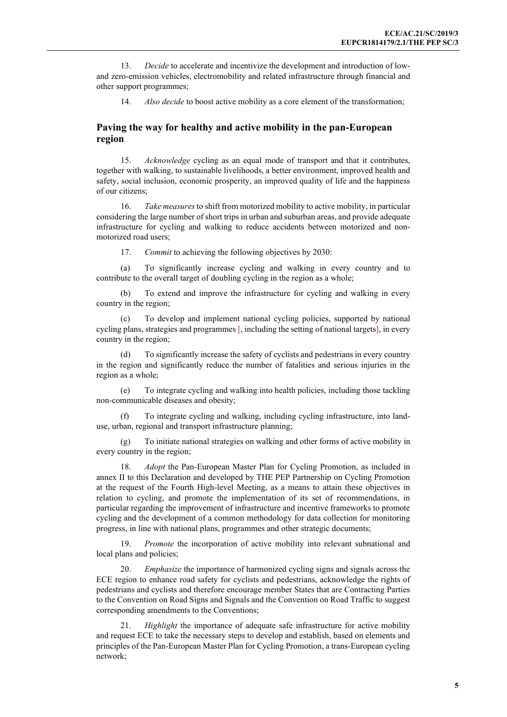13. *Decide* to accelerate and incentivize the development and introduction of lowand zero-emission vehicles, electromobility and related infrastructure through financial and other support programmes;

14. *Also decide* to boost active mobility as a core element of the transformation;

#### **Paving the way for healthy and active mobility in the pan-European region**

15. *Acknowledge* cycling as an equal mode of transport and that it contributes, together with walking, to sustainable livelihoods, a better environment, improved health and safety, social inclusion, economic prosperity, an improved quality of life and the happiness of our citizens;

16. *Take measures*to shift from motorized mobility to active mobility, in particular considering the large number of short trips in urban and suburban areas, and provide adequate infrastructure for cycling and walking to reduce accidents between motorized and nonmotorized road users;

17. *Commit* to achieving the following objectives by 2030:

(a) To significantly increase cycling and walking in every country and to contribute to the overall target of doubling cycling in the region as a whole;

(b) To extend and improve the infrastructure for cycling and walking in every country in the region;

(c) To develop and implement national cycling policies, supported by national cycling plans, strategies and programmes [, including the setting of national targets], in every country in the region;

(d) To significantly increase the safety of cyclists and pedestrians in every country in the region and significantly reduce the number of fatalities and serious injuries in the region as a whole;

(e) To integrate cycling and walking into health policies, including those tackling non-communicable diseases and obesity;

(f) To integrate cycling and walking, including cycling infrastructure, into landuse, urban, regional and transport infrastructure planning;

(g) To initiate national strategies on walking and other forms of active mobility in every country in the region;

18. *Adopt* the Pan-European Master Plan for Cycling Promotion, as included in annex II to this Declaration and developed by THE PEP Partnership on Cycling Promotion at the request of the Fourth High-level Meeting, as a means to attain these objectives in relation to cycling, and promote the implementation of its set of recommendations, in particular regarding the improvement of infrastructure and incentive frameworks to promote cycling and the development of a common methodology for data collection for monitoring progress, in line with national plans, programmes and other strategic documents;

Promote the incorporation of active mobility into relevant subnational and local plans and policies;

20. *Emphasize* the importance of harmonized cycling signs and signals across the ECE region to enhance road safety for cyclists and pedestrians, acknowledge the rights of pedestrians and cyclists and therefore encourage member States that are Contracting Parties to the Convention on Road Signs and Signals and the Convention on Road Traffic to suggest corresponding amendments to the Conventions;

Highlight the importance of adequate safe infrastructure for active mobility and request ECE to take the necessary steps to develop and establish, based on elements and principles of the Pan-European Master Plan for Cycling Promotion, a trans-European cycling network;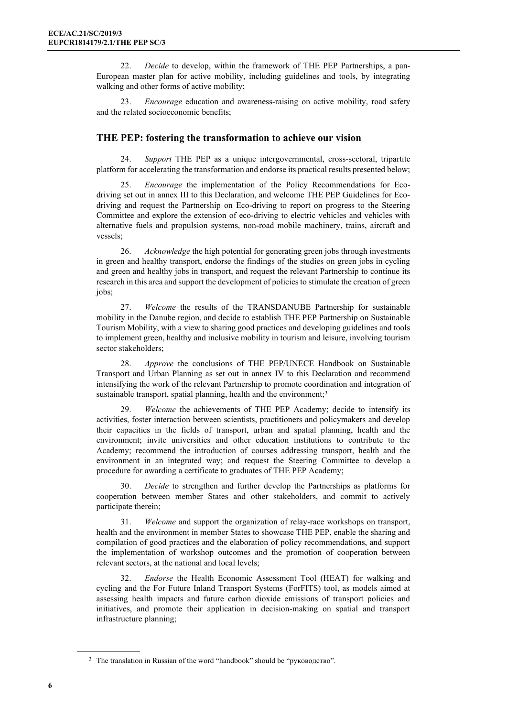22. *Decide* to develop, within the framework of THE PEP Partnerships, a pan-European master plan for active mobility, including guidelines and tools, by integrating walking and other forms of active mobility;

23. *Encourage* education and awareness-raising on active mobility, road safety and the related socioeconomic benefits;

#### **THE PEP: fostering the transformation to achieve our vision**

24. *Support* THE PEP as a unique intergovernmental, cross-sectoral, tripartite platform for accelerating the transformation and endorse its practical results presented below;

25. *Encourage* the implementation of the Policy Recommendations for Ecodriving set out in annex III to this Declaration, and welcome THE PEP Guidelines for Ecodriving and request the Partnership on Eco-driving to report on progress to the Steering Committee and explore the extension of eco-driving to electric vehicles and vehicles with alternative fuels and propulsion systems, non-road mobile machinery, trains, aircraft and vessels;

26. *Acknowledge* the high potential for generating green jobs through investments in green and healthy transport, endorse the findings of the studies on green jobs in cycling and green and healthy jobs in transport, and request the relevant Partnership to continue its research in this area and support the development of policies to stimulate the creation of green jobs;

27. *Welcome* the results of the TRANSDANUBE Partnership for sustainable mobility in the Danube region, and decide to establish THE PEP Partnership on Sustainable Tourism Mobility, with a view to sharing good practices and developing guidelines and tools to implement green, healthy and inclusive mobility in tourism and leisure, involving tourism sector stakeholders;

28. *Approve* the conclusions of THE PEP/UNECE Handbook on Sustainable Transport and Urban Planning as set out in annex IV to this Declaration and recommend intensifying the work of the relevant Partnership to promote coordination and integration of sustainable transport, spatial planning, health and the environment;<sup>[3](#page-5-0)</sup>

29. *Welcome* the achievements of THE PEP Academy; decide to intensify its activities, foster interaction between scientists, practitioners and policymakers and develop their capacities in the fields of transport, urban and spatial planning, health and the environment; invite universities and other education institutions to contribute to the Academy; recommend the introduction of courses addressing transport, health and the environment in an integrated way; and request the Steering Committee to develop a procedure for awarding a certificate to graduates of THE PEP Academy;

30. *Decide* to strengthen and further develop the Partnerships as platforms for cooperation between member States and other stakeholders, and commit to actively participate therein;

31. *Welcome* and support the organization of relay-race workshops on transport, health and the environment in member States to showcase THE PEP, enable the sharing and compilation of good practices and the elaboration of policy recommendations, and support the implementation of workshop outcomes and the promotion of cooperation between relevant sectors, at the national and local levels;

32. *Endorse* the Health Economic Assessment Tool (HEAT) for walking and cycling and the For Future Inland Transport Systems (ForFITS) tool, as models aimed at assessing health impacts and future carbon dioxide emissions of transport policies and initiatives, and promote their application in decision-making on spatial and transport infrastructure planning;

<span id="page-5-0"></span><sup>&</sup>lt;sup>3</sup> The translation in Russian of the word "handbook" should be "руководство".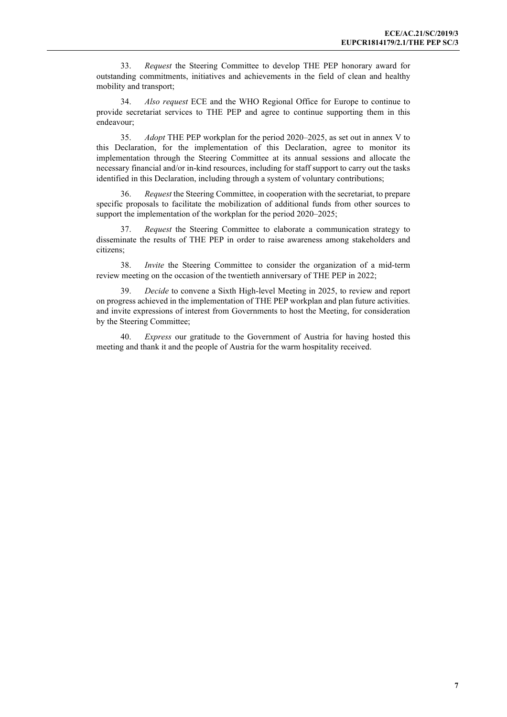33. *Request* the Steering Committee to develop THE PEP honorary award for outstanding commitments, initiatives and achievements in the field of clean and healthy mobility and transport;

34. *Also request* ECE and the WHO Regional Office for Europe to continue to provide secretariat services to THE PEP and agree to continue supporting them in this endeavour;

35. *Adopt* THE PEP workplan for the period 2020–2025, as set out in annex V to this Declaration, for the implementation of this Declaration, agree to monitor its implementation through the Steering Committee at its annual sessions and allocate the necessary financial and/or in-kind resources, including for staff support to carry out the tasks identified in this Declaration, including through a system of voluntary contributions;

36. *Request* the Steering Committee, in cooperation with the secretariat, to prepare specific proposals to facilitate the mobilization of additional funds from other sources to support the implementation of the workplan for the period 2020–2025;

37. *Request* the Steering Committee to elaborate a communication strategy to disseminate the results of THE PEP in order to raise awareness among stakeholders and citizens;

38. *Invite* the Steering Committee to consider the organization of a mid-term review meeting on the occasion of the twentieth anniversary of THE PEP in 2022;

39. *Decide* to convene a Sixth High-level Meeting in 2025, to review and report on progress achieved in the implementation of THE PEP workplan and plan future activities. and invite expressions of interest from Governments to host the Meeting, for consideration by the Steering Committee;

40. *Express* our gratitude to the Government of Austria for having hosted this meeting and thank it and the people of Austria for the warm hospitality received.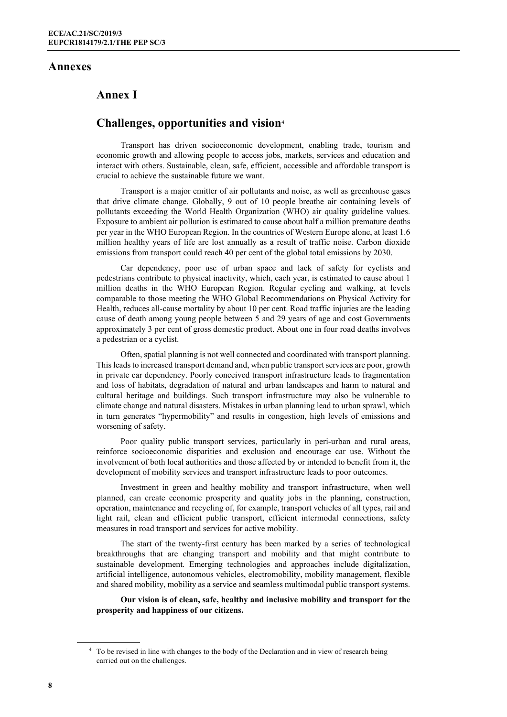#### **Annexes**

## **Annex I**

### **Challenges, opportunities and vision[4](#page-7-0)**

Transport has driven socioeconomic development, enabling trade, tourism and economic growth and allowing people to access jobs, markets, services and education and interact with others. Sustainable, clean, safe, efficient, accessible and affordable transport is crucial to achieve the sustainable future we want.

Transport is a major emitter of air pollutants and noise, as well as greenhouse gases that drive climate change. Globally, 9 out of 10 people breathe air containing levels of pollutants exceeding the World Health Organization (WHO) air quality guideline values. Exposure to ambient air pollution is estimated to cause about half a million premature deaths per year in the WHO European Region. In the countries of Western Europe alone, at least 1.6 million healthy years of life are lost annually as a result of traffic noise. Carbon dioxide emissions from transport could reach 40 per cent of the global total emissions by 2030.

Car dependency, poor use of urban space and lack of safety for cyclists and pedestrians contribute to physical inactivity, which, each year, is estimated to cause about 1 million deaths in the WHO European Region. Regular cycling and walking, at levels comparable to those meeting the WHO Global Recommendations on Physical Activity for Health, reduces all-cause mortality by about 10 per cent. Road traffic injuries are the leading cause of death among young people between 5 and 29 years of age and cost Governments approximately 3 per cent of gross domestic product. About one in four road deaths involves a pedestrian or a cyclist.

Often, spatial planning is not well connected and coordinated with transport planning. This leads to increased transport demand and, when public transport services are poor, growth in private car dependency. Poorly conceived transport infrastructure leads to fragmentation and loss of habitats, degradation of natural and urban landscapes and harm to natural and cultural heritage and buildings. Such transport infrastructure may also be vulnerable to climate change and natural disasters. Mistakes in urban planning lead to urban sprawl, which in turn generates "hypermobility" and results in congestion, high levels of emissions and worsening of safety.

Poor quality public transport services, particularly in peri-urban and rural areas, reinforce socioeconomic disparities and exclusion and encourage car use. Without the involvement of both local authorities and those affected by or intended to benefit from it, the development of mobility services and transport infrastructure leads to poor outcomes.

Investment in green and healthy mobility and transport infrastructure, when well planned, can create economic prosperity and quality jobs in the planning, construction, operation, maintenance and recycling of, for example, transport vehicles of all types, rail and light rail, clean and efficient public transport, efficient intermodal connections, safety measures in road transport and services for active mobility.

The start of the twenty-first century has been marked by a series of technological breakthroughs that are changing transport and mobility and that might contribute to sustainable development. Emerging technologies and approaches include digitalization, artificial intelligence, autonomous vehicles, electromobility, mobility management, flexible and shared mobility, mobility as a service and seamless multimodal public transport systems.

**Our vision is of clean, safe, healthy and inclusive mobility and transport for the prosperity and happiness of our citizens.**

<span id="page-7-0"></span><sup>&</sup>lt;sup>4</sup> To be revised in line with changes to the body of the Declaration and in view of research being carried out on the challenges.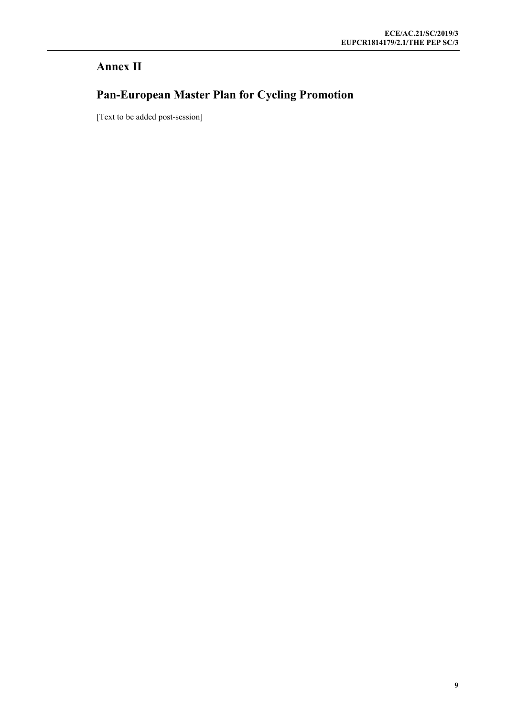## **Annex II**

# **Pan-European Master Plan for Cycling Promotion**

[Text to be added post-session]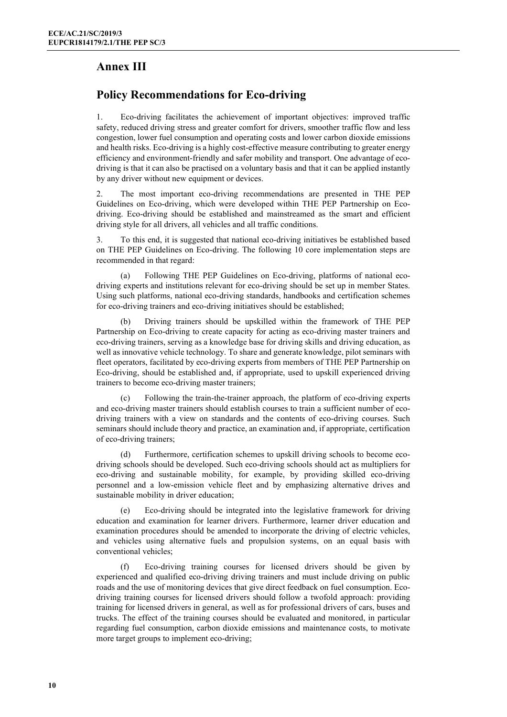## **Annex III**

## **Policy Recommendations for Eco-driving**

1. Eco-driving facilitates the achievement of important objectives: improved traffic safety, reduced driving stress and greater comfort for drivers, smoother traffic flow and less congestion, lower fuel consumption and operating costs and lower carbon dioxide emissions and health risks. Eco-driving is a highly cost-effective measure contributing to greater energy efficiency and environment-friendly and safer mobility and transport. One advantage of ecodriving is that it can also be practised on a voluntary basis and that it can be applied instantly by any driver without new equipment or devices.

2. The most important eco-driving recommendations are presented in THE PEP Guidelines on Eco-driving, which were developed within THE PEP Partnership on Ecodriving. Eco-driving should be established and mainstreamed as the smart and efficient driving style for all drivers, all vehicles and all traffic conditions.

3. To this end, it is suggested that national eco-driving initiatives be established based on THE PEP Guidelines on Eco-driving. The following 10 core implementation steps are recommended in that regard:

(a) Following THE PEP Guidelines on Eco-driving, platforms of national ecodriving experts and institutions relevant for eco-driving should be set up in member States. Using such platforms, national eco-driving standards, handbooks and certification schemes for eco-driving trainers and eco-driving initiatives should be established;

(b) Driving trainers should be upskilled within the framework of THE PEP Partnership on Eco-driving to create capacity for acting as eco-driving master trainers and eco-driving trainers, serving as a knowledge base for driving skills and driving education, as well as innovative vehicle technology. To share and generate knowledge, pilot seminars with fleet operators, facilitated by eco-driving experts from members of THE PEP Partnership on Eco-driving, should be established and, if appropriate, used to upskill experienced driving trainers to become eco-driving master trainers;

Following the train-the-trainer approach, the platform of eco-driving experts and eco-driving master trainers should establish courses to train a sufficient number of ecodriving trainers with a view on standards and the contents of eco-driving courses. Such seminars should include theory and practice, an examination and, if appropriate, certification of eco-driving trainers;

(d) Furthermore, certification schemes to upskill driving schools to become ecodriving schools should be developed. Such eco-driving schools should act as multipliers for eco-driving and sustainable mobility, for example, by providing skilled eco-driving personnel and a low-emission vehicle fleet and by emphasizing alternative drives and sustainable mobility in driver education;

(e) Eco-driving should be integrated into the legislative framework for driving education and examination for learner drivers. Furthermore, learner driver education and examination procedures should be amended to incorporate the driving of electric vehicles, and vehicles using alternative fuels and propulsion systems, on an equal basis with conventional vehicles;

(f) Eco-driving training courses for licensed drivers should be given by experienced and qualified eco-driving driving trainers and must include driving on public roads and the use of monitoring devices that give direct feedback on fuel consumption. Ecodriving training courses for licensed drivers should follow a twofold approach: providing training for licensed drivers in general, as well as for professional drivers of cars, buses and trucks. The effect of the training courses should be evaluated and monitored, in particular regarding fuel consumption, carbon dioxide emissions and maintenance costs, to motivate more target groups to implement eco-driving;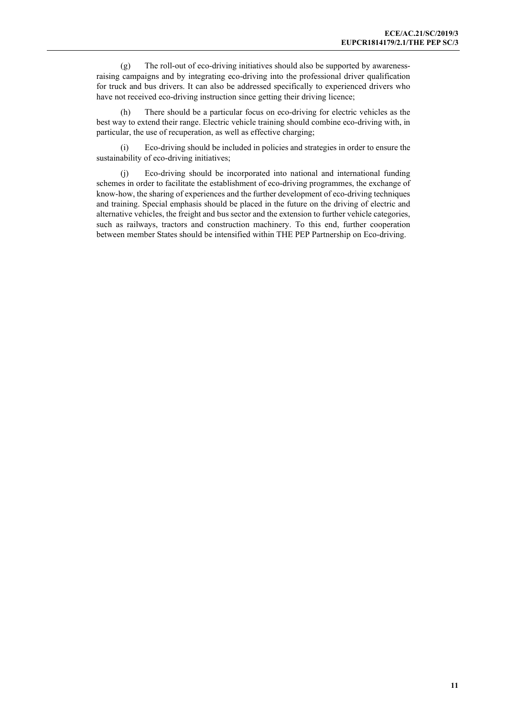(g) The roll-out of eco-driving initiatives should also be supported by awarenessraising campaigns and by integrating eco-driving into the professional driver qualification for truck and bus drivers. It can also be addressed specifically to experienced drivers who have not received eco-driving instruction since getting their driving licence;

(h) There should be a particular focus on eco-driving for electric vehicles as the best way to extend their range. Electric vehicle training should combine eco-driving with, in particular, the use of recuperation, as well as effective charging;

(i) Eco-driving should be included in policies and strategies in order to ensure the sustainability of eco-driving initiatives;

(j) Eco-driving should be incorporated into national and international funding schemes in order to facilitate the establishment of eco-driving programmes, the exchange of know-how, the sharing of experiences and the further development of eco-driving techniques and training. Special emphasis should be placed in the future on the driving of electric and alternative vehicles, the freight and bus sector and the extension to further vehicle categories, such as railways, tractors and construction machinery. To this end, further cooperation between member States should be intensified within THE PEP Partnership on Eco-driving.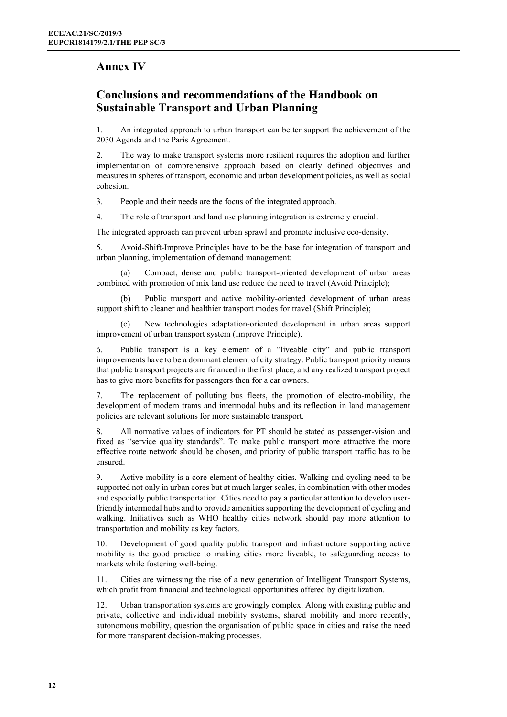## **Annex IV**

## **Conclusions and recommendations of the Handbook on Sustainable Transport and Urban Planning**

1. An integrated approach to urban transport can better support the achievement of the 2030 Agenda and the Paris Agreement.

2. The way to make transport systems more resilient requires the adoption and further implementation of comprehensive approach based on clearly defined objectives and measures in spheres of transport, economic and urban development policies, as well as social cohesion.

3. People and their needs are the focus of the integrated approach.

4. The role of transport and land use planning integration is extremely crucial.

The integrated approach can prevent urban sprawl and promote inclusive eco-density.

5. Avoid-Shift-Improve Principles have to be the base for integration of transport and urban planning, implementation of demand management:

(a) Compact, dense and public transport-oriented development of urban areas combined with promotion of mix land use reduce the need to travel (Avoid Principle);

(b) Public transport and active mobility-oriented development of urban areas support shift to cleaner and healthier transport modes for travel (Shift Principle);

New technologies adaptation-oriented development in urban areas support improvement of urban transport system (Improve Principle).

6. Public transport is a key element of a "liveable city" and public transport improvements have to be a dominant element of city strategy. Public transport priority means that public transport projects are financed in the first place, and any realized transport project has to give more benefits for passengers then for a car owners.

7. The replacement of polluting bus fleets, the promotion of electro-mobility, the development of modern trams and intermodal hubs and its reflection in land management policies are relevant solutions for more sustainable transport.

8. All normative values of indicators for PT should be stated as passenger-vision and fixed as "service quality standards". To make public transport more attractive the more effective route network should be chosen, and priority of public transport traffic has to be ensured.

9. Active mobility is a core element of healthy cities. Walking and cycling need to be supported not only in urban cores but at much larger scales, in combination with other modes and especially public transportation. Cities need to pay a particular attention to develop userfriendly intermodal hubs and to provide amenities supporting the development of cycling and walking. Initiatives such as WHO healthy cities network should pay more attention to transportation and mobility as key factors.

10. Development of good quality public transport and infrastructure supporting active mobility is the good practice to making cities more liveable, to safeguarding access to markets while fostering well-being.

11. Cities are witnessing the rise of a new generation of Intelligent Transport Systems, which profit from financial and technological opportunities offered by digitalization.

12. Urban transportation systems are growingly complex. Along with existing public and private, collective and individual mobility systems, shared mobility and more recently, autonomous mobility, question the organisation of public space in cities and raise the need for more transparent decision-making processes.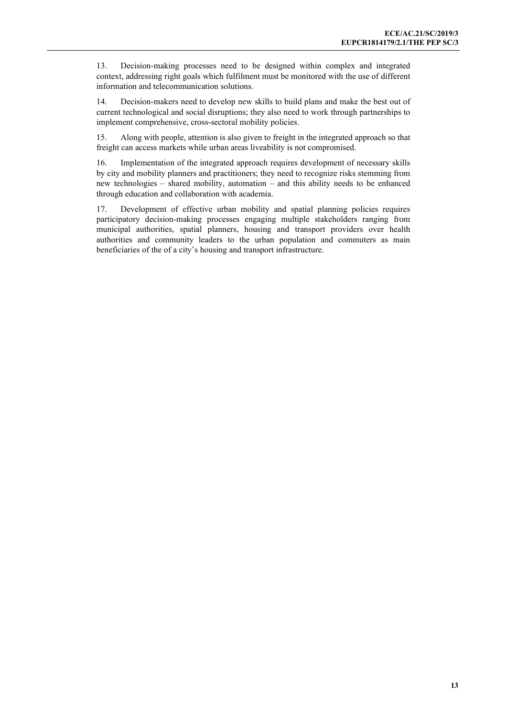13. Decision-making processes need to be designed within complex and integrated context, addressing right goals which fulfilment must be monitored with the use of different information and telecommunication solutions.

14. Decision-makers need to develop new skills to build plans and make the best out of current technological and social disruptions; they also need to work through partnerships to implement comprehensive, cross-sectoral mobility policies.

15. Along with people, attention is also given to freight in the integrated approach so that freight can access markets while urban areas liveability is not compromised.

16. Implementation of the integrated approach requires development of necessary skills by city and mobility planners and practitioners; they need to recognize risks stemming from new technologies – shared mobility, automation – and this ability needs to be enhanced through education and collaboration with academia.

17. Development of effective urban mobility and spatial planning policies requires participatory decision-making processes engaging multiple stakeholders ranging from municipal authorities, spatial planners, housing and transport providers over health authorities and community leaders to the urban population and commuters as main beneficiaries of the of a city's housing and transport infrastructure.